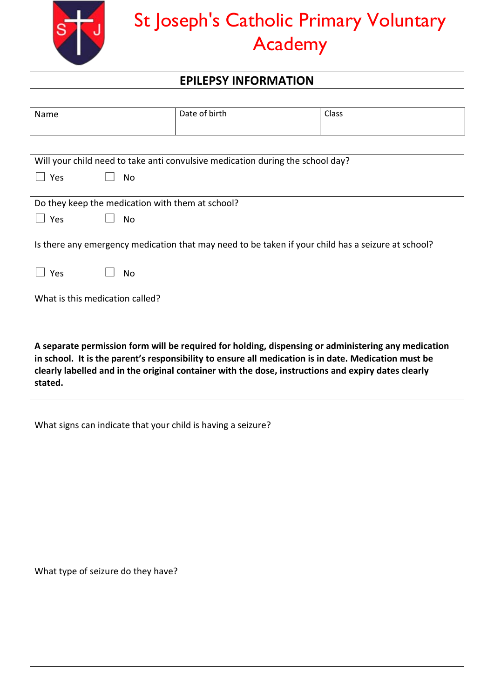

## St Joseph's Catholic Primary Voluntary Academy

## **EPILEPSY INFORMATION**

| Name                                                                                                                                                                                                                                                                                                                          | Date of birth                                                                                      | Class |  |
|-------------------------------------------------------------------------------------------------------------------------------------------------------------------------------------------------------------------------------------------------------------------------------------------------------------------------------|----------------------------------------------------------------------------------------------------|-------|--|
|                                                                                                                                                                                                                                                                                                                               |                                                                                                    |       |  |
| Will your child need to take anti convulsive medication during the school day?                                                                                                                                                                                                                                                |                                                                                                    |       |  |
| Yes<br>No                                                                                                                                                                                                                                                                                                                     |                                                                                                    |       |  |
| Do they keep the medication with them at school?                                                                                                                                                                                                                                                                              |                                                                                                    |       |  |
| $\Box$ Yes<br>No                                                                                                                                                                                                                                                                                                              |                                                                                                    |       |  |
| Yes<br>Nο                                                                                                                                                                                                                                                                                                                     | Is there any emergency medication that may need to be taken if your child has a seizure at school? |       |  |
| What is this medication called?                                                                                                                                                                                                                                                                                               |                                                                                                    |       |  |
|                                                                                                                                                                                                                                                                                                                               |                                                                                                    |       |  |
| A separate permission form will be required for holding, dispensing or administering any medication<br>in school. It is the parent's responsibility to ensure all medication is in date. Medication must be<br>clearly labelled and in the original container with the dose, instructions and expiry dates clearly<br>stated. |                                                                                                    |       |  |

What signs can indicate that your child is having a seizure?

What type of seizure do they have?